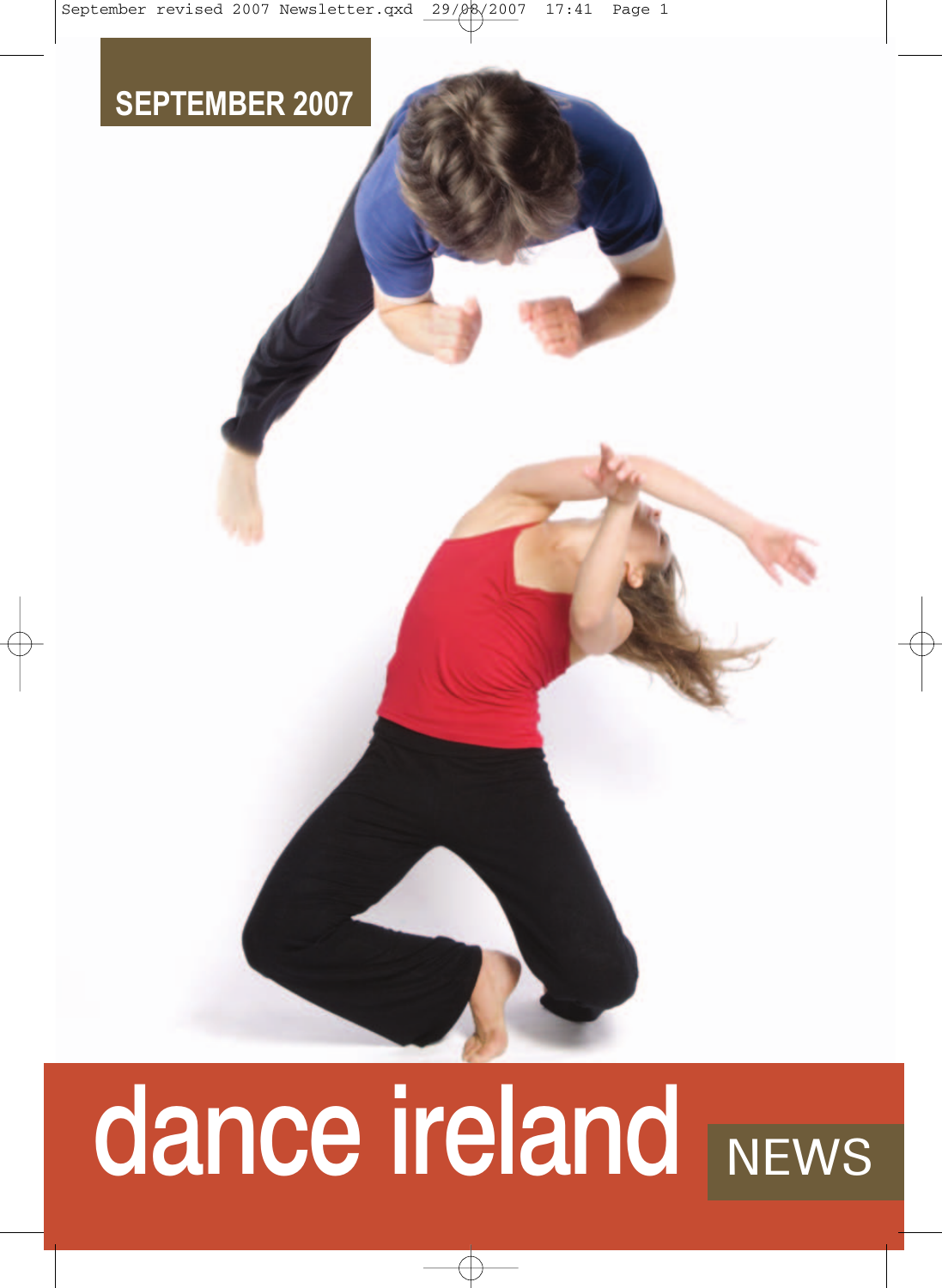# **SEPTEMBER 2007**

# dance ireland NEWS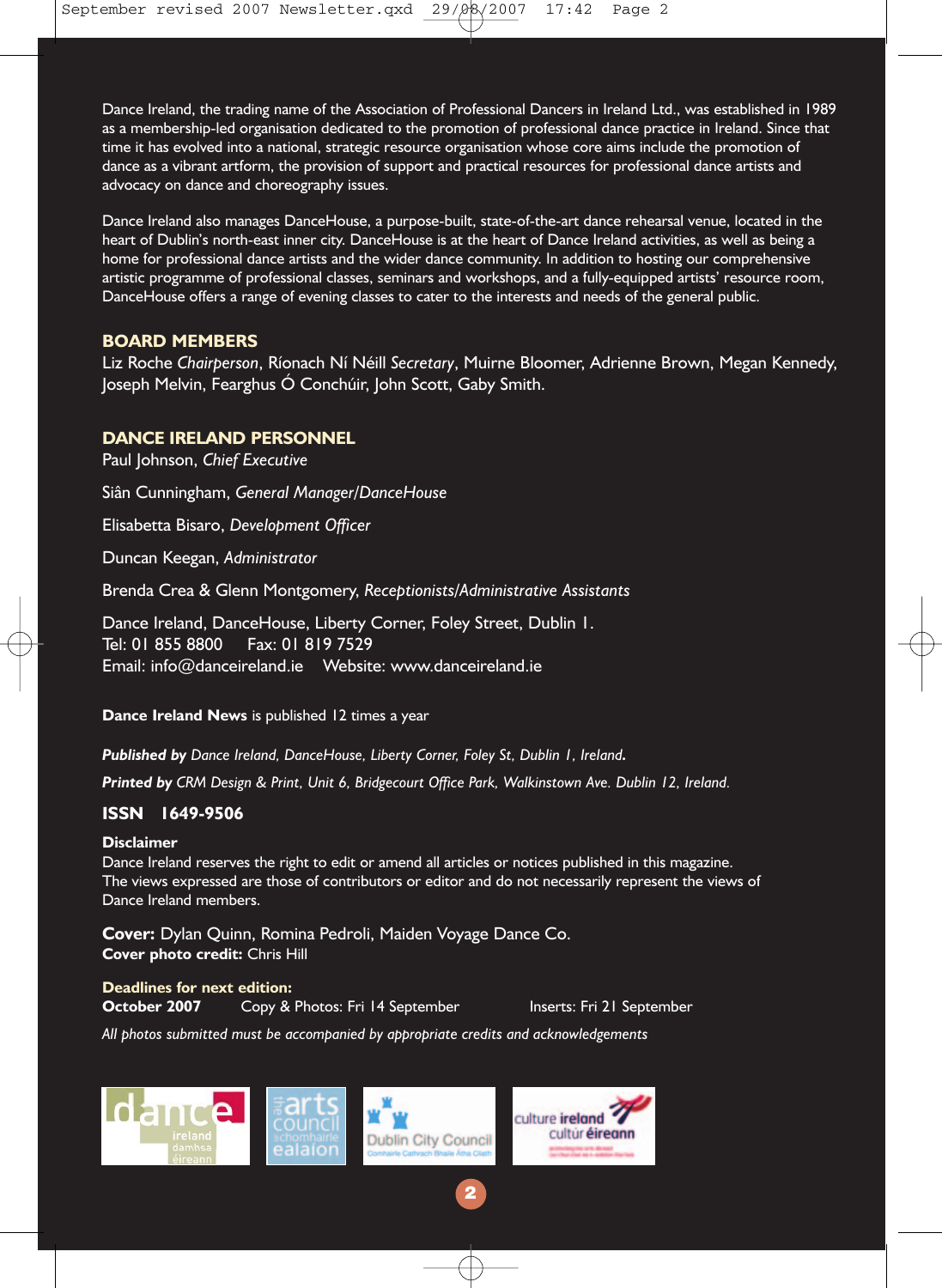Dance Ireland, the trading name of the Association of Professional Dancers in Ireland Ltd., was established in 1989 as a membership-led organisation dedicated to the promotion of professional dance practice in Ireland. Since that time it has evolved into a national, strategic resource organisation whose core aims include the promotion of dance as a vibrant artform, the provision of support and practical resources for professional dance artists and advocacy on dance and choreography issues.

Dance Ireland also manages DanceHouse, a purpose-built, state-of-the-art dance rehearsal venue, located in the heart of Dublin's north-east inner city. DanceHouse is at the heart of Dance Ireland activities, as well as being a home for professional dance artists and the wider dance community. In addition to hosting our comprehensive artistic programme of professional classes, seminars and workshops, and a fully-equipped artists' resource room, DanceHouse offers a range of evening classes to cater to the interests and needs of the general public.

#### **BOARD MEMBERS**

Liz Roche *Chairperson*, Ríonach Ní Néill *Secretary*, Muirne Bloomer, Adrienne Brown, Megan Kennedy, Joseph Melvin, Fearghus Ó Conchúir, John Scott, Gaby Smith.

#### **DANCE IRELAND PERSONNEL**

Paul Johnson, *Chief Executive* Siân Cunningham, *General Manager/DanceHouse*  Elisabetta Bisaro, *Development Officer* Duncan Keegan, *Administrator*  Brenda Crea & Glenn Montgomery, *Receptionists/Administrative Assistants*  Dance Ireland, DanceHouse, Liberty Corner, Foley Street, Dublin 1. Tel: 01 855 8800 Fax: 01 819 7529

Email: info@danceireland.ie Website: www.danceireland.ie

**Dance Ireland News** is published 12 times a year

*Published by Dance Ireland, DanceHouse, Liberty Corner, Foley St, Dublin 1, Ireland.*

*Printed by CRM Design & Print, Unit 6, Bridgecourt Office Park, Walkinstown Ave. Dublin 12, Ireland.*

#### **ISSN 1649-9506**

#### **Disclaimer**

Dance Ireland reserves the right to edit or amend all articles or notices published in this magazine. The views expressed are those of contributors or editor and do not necessarily represent the views of Dance Ireland members.

**2**

**Cover:** Dylan Quinn, Romina Pedroli, Maiden Voyage Dance Co. **Cover photo credit:** Chris Hill

#### **Deadlines for next edition:**

**October 2007** Copy & Photos: Fri 14 September Inserts: Fri 21 September

*All photos submitted must be accompanied by appropriate credits and acknowledgements*

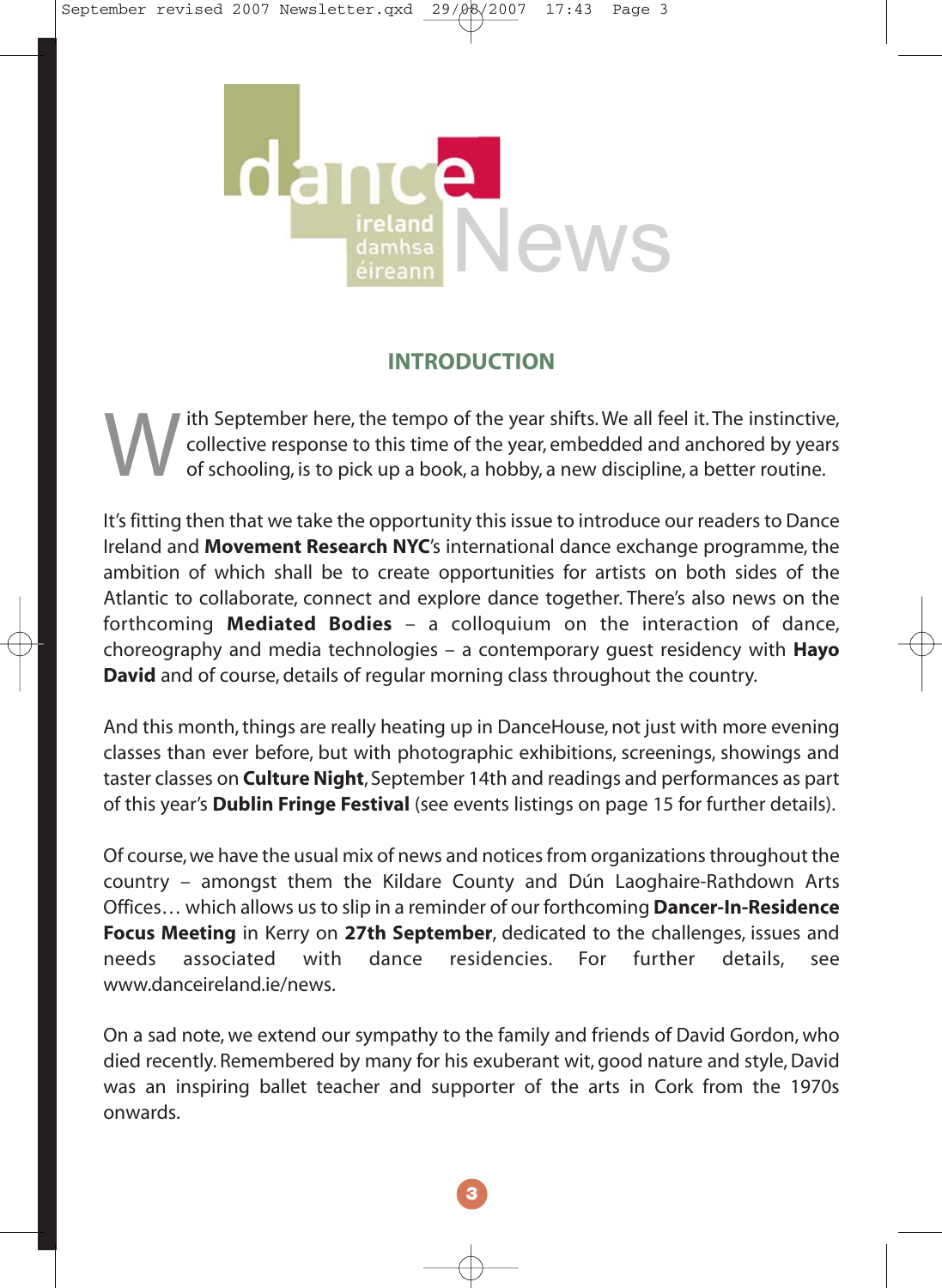

#### **INTRODUCTION**

With September here, the tempo of the year shifts. We all feel it. The instinctive,<br>collective response to this time of the year, embedded and anchored by years<br>of schooling, is to pick up a book, a hobby, a new discipline collective response to this time of the year, embedded and anchored by years

It's fitting then that we take the opportunity this issue to introduce our readers to Dance Ireland and **Movement Research NYC**'s international dance exchange programme, the ambition of which shall be to create opportunities for artists on both sides of the Atlantic to collaborate, connect and explore dance together. There's also news on the forthcoming **Mediated Bodies** – a colloquium on the interaction of dance, choreography and media technologies – a contemporary guest residency with **Hayo David** and of course, details of regular morning class throughout the country.

And this month, things are really heating up in DanceHouse, not just with more evening classes than ever before, but with photographic exhibitions, screenings, showings and taster classes on **Culture Night**, September 14th and readings and performances as part of this year's **Dublin Fringe Festival** (see events listings on page 15 for further details).

Of course, we have the usual mix of news and notices from organizations throughout the country – amongst them the Kildare County and Dún Laoghaire-Rathdown Arts Offices… which allows us to slip in a reminder of our forthcoming **Dancer-In-Residence Focus Meeting** in Kerry on **27th September**, dedicated to the challenges, issues and needs associated with dance residencies. For further details, see www.danceireland.ie/news.

On a sad note, we extend our sympathy to the family and friends of David Gordon, who died recently. Remembered by many for his exuberant wit, good nature and style, David was an inspiring ballet teacher and supporter of the arts in Cork from the 1970s onwards.

**3**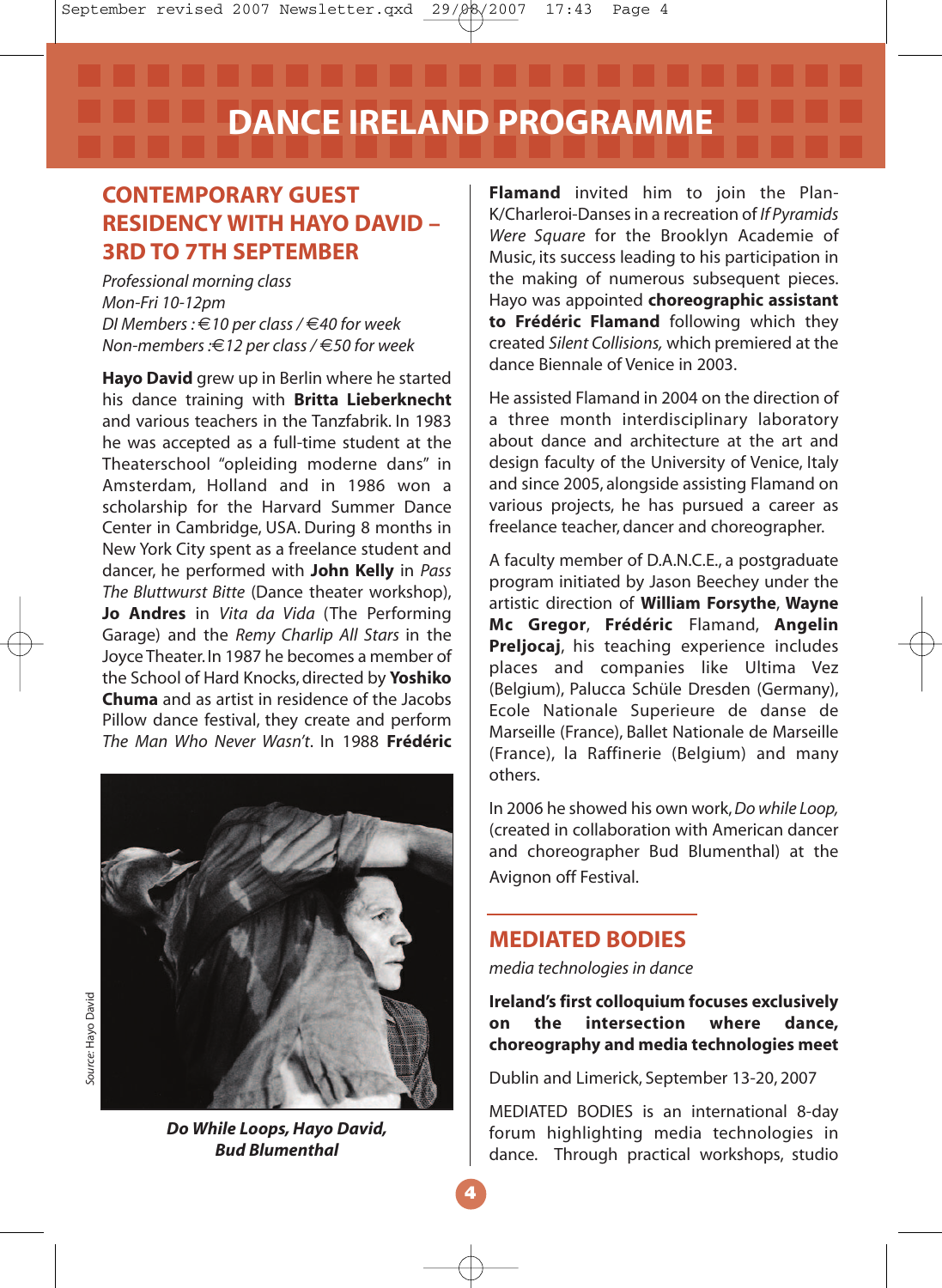#### **CONTEMPORARY GUEST RESIDENCY WITH HAYO DAVID – 3RD TO 7TH SEPTEMBER**

*Professional morning class Mon-Fri 10-12pm DI Members :* €*10 per class /* €*40 for week Non-members :*€*12 per class /* €*50 for week*

**Hayo David** grew up in Berlin where he started his dance training with **Britta Lieberknecht** and various teachers in the Tanzfabrik. In 1983 he was accepted as a full-time student at the Theaterschool "opleiding moderne dans" in Amsterdam, Holland and in 1986 won a scholarship for the Harvard Summer Dance Center in Cambridge, USA. During 8 months in New York City spent as a freelance student and dancer, he performed with **John Kelly** in *Pass The Bluttwurst Bitte* (Dance theater workshop), **Jo Andres** in *Vita da Vida* (The Performing Garage) and the *Remy Charlip All Stars* in the Joyce Theater. In 1987 he becomes a member of the School of Hard Knocks, directed by **Yoshiko Chuma** and as artist in residence of the Jacobs Pillow dance festival, they create and perform *The Man Who Never Wasn't*. In 1988 **Frédéric**



*Do While Loops, Hayo David, Bud Blumenthal*

**Flamand** invited him to join the Plan-K/Charleroi-Danses in a recreation of *If Pyramids Were Square* for the Brooklyn Academie of Music, its success leading to his participation in the making of numerous subsequent pieces. Hayo was appointed **choreographic assistant to Frédéric Flamand** following which they created *Silent Collisions,* which premiered at the dance Biennale of Venice in 2003.

He assisted Flamand in 2004 on the direction of a three month interdisciplinary laboratory about dance and architecture at the art and design faculty of the University of Venice, Italy and since 2005, alongside assisting Flamand on various projects, he has pursued a career as freelance teacher, dancer and choreographer.

A faculty member of D.A.N.C.E., a postgraduate program initiated by Jason Beechey under the artistic direction of **William Forsythe**, **Wayne Mc Gregor**, **Frédéric** Flamand, **Angelin Preljocaj**, his teaching experience includes places and companies like Ultima Vez (Belgium), Palucca Schüle Dresden (Germany), Ecole Nationale Superieure de danse de Marseille (France), Ballet Nationale de Marseille (France), la Raffinerie (Belgium) and many others.

In 2006 he showed his own work,*Do while Loop,* (created in collaboration with American dancer and choreographer Bud Blumenthal) at the Avignon off Festival.

#### **MEDIATED BODIES**

*media technologies in dance*

**Ireland's first colloquium focuses exclusively on the intersection where dance, choreography and media technologies meet**

Dublin and Limerick, September 13-20, 2007

MEDIATED BODIES is an international 8-day forum highlighting media technologies in dance. Through practical workshops, studio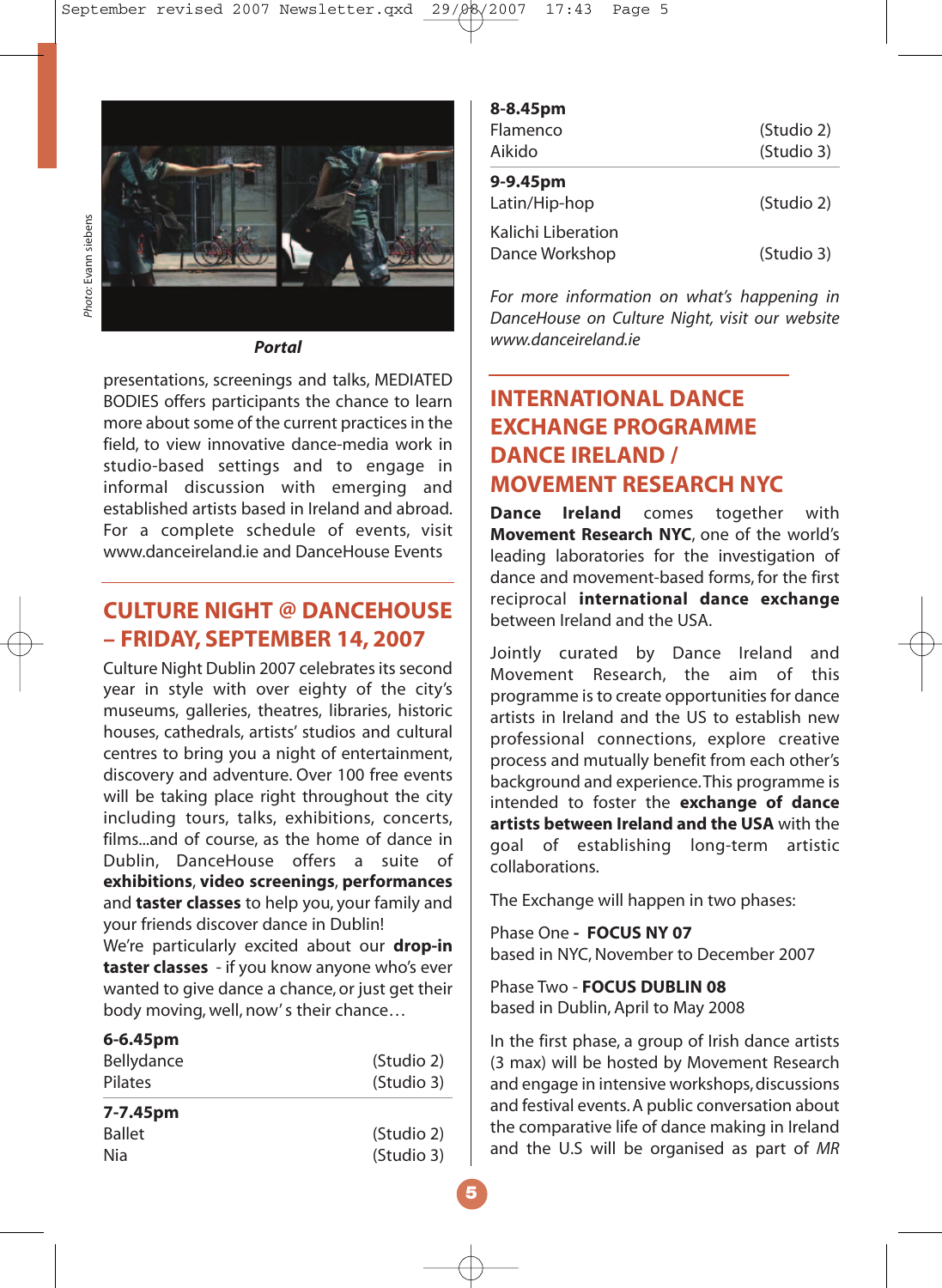

*Portal*

presentations, screenings and talks, MEDIATED BODIES offers participants the chance to learn more about some of the current practices in the field, to view innovative dance-media work in studio-based settings and to engage in informal discussion with emerging and established artists based in Ireland and abroad. For a complete schedule of events, visit www.danceireland.ie and DanceHouse Events

#### **CULTURE NIGHT @ DANCEHOUSE – FRIDAY, SEPTEMBER 14, 2007**

Culture Night Dublin 2007 celebrates its second year in style with over eighty of the city's museums, galleries, theatres, libraries, historic houses, cathedrals, artists' studios and cultural centres to bring you a night of entertainment, discovery and adventure. Over 100 free events will be taking place right throughout the city including tours, talks, exhibitions, concerts, films...and of course, as the home of dance in Dublin, DanceHouse offers a suite of **exhibitions**, **video screenings**, **performances** and **taster classes** to help you, your family and your friends discover dance in Dublin! We're particularly excited about our **drop-in taster classes** - if you know anyone who's ever wanted to give dance a chance, or just get their body moving, well, now' s their chance…

#### **6-6.45pm**

| Bellydance<br>Pilates | (Studio 2)<br>(Studio 3) |
|-----------------------|--------------------------|
| 7-7.45pm              |                          |
| <b>Ballet</b>         | (Studio 2)               |
| Nia                   | (Studio 3)               |

| יייש כדיס ט<br>Flamenco<br>Aikido    | (Studio 2)<br>(Studio 3) |
|--------------------------------------|--------------------------|
| 9-9.45pm<br>Latin/Hip-hop            | (Studio 2)               |
| Kalichi Liberation<br>Dance Workshop | (Studio 3)               |

**8-8.45pm**

*For more information on what's happening in DanceHouse on Culture Night, visit our website www.danceireland.ie*

#### **INTERNATIONAL DANCE EXCHANGE PROGRAMME DANCE IRELAND / MOVEMENT RESEARCH NYC**

**Dance Ireland** comes together with **Movement Research NYC**, one of the world's leading laboratories for the investigation of dance and movement-based forms, for the first reciprocal **international dance exchange** between Ireland and the USA.

Jointly curated by Dance Ireland and Movement Research, the aim of this programme is to create opportunities for dance artists in Ireland and the US to establish new professional connections, explore creative process and mutually benefit from each other's background and experience.This programme is intended to foster the **exchange of dance artists between Ireland and the USA** with the goal of establishing long-term artistic collaborations.

The Exchange will happen in two phases:

Phase One **- FOCUS NY 07** based in NYC, November to December 2007

Phase Two - **FOCUS DUBLIN 08** based in Dublin, April to May 2008

In the first phase, a group of Irish dance artists (3 max) will be hosted by Movement Research and engage in intensive workshops, discussions and festival events. A public conversation about the comparative life of dance making in Ireland and the U.S will be organised as part of *MR*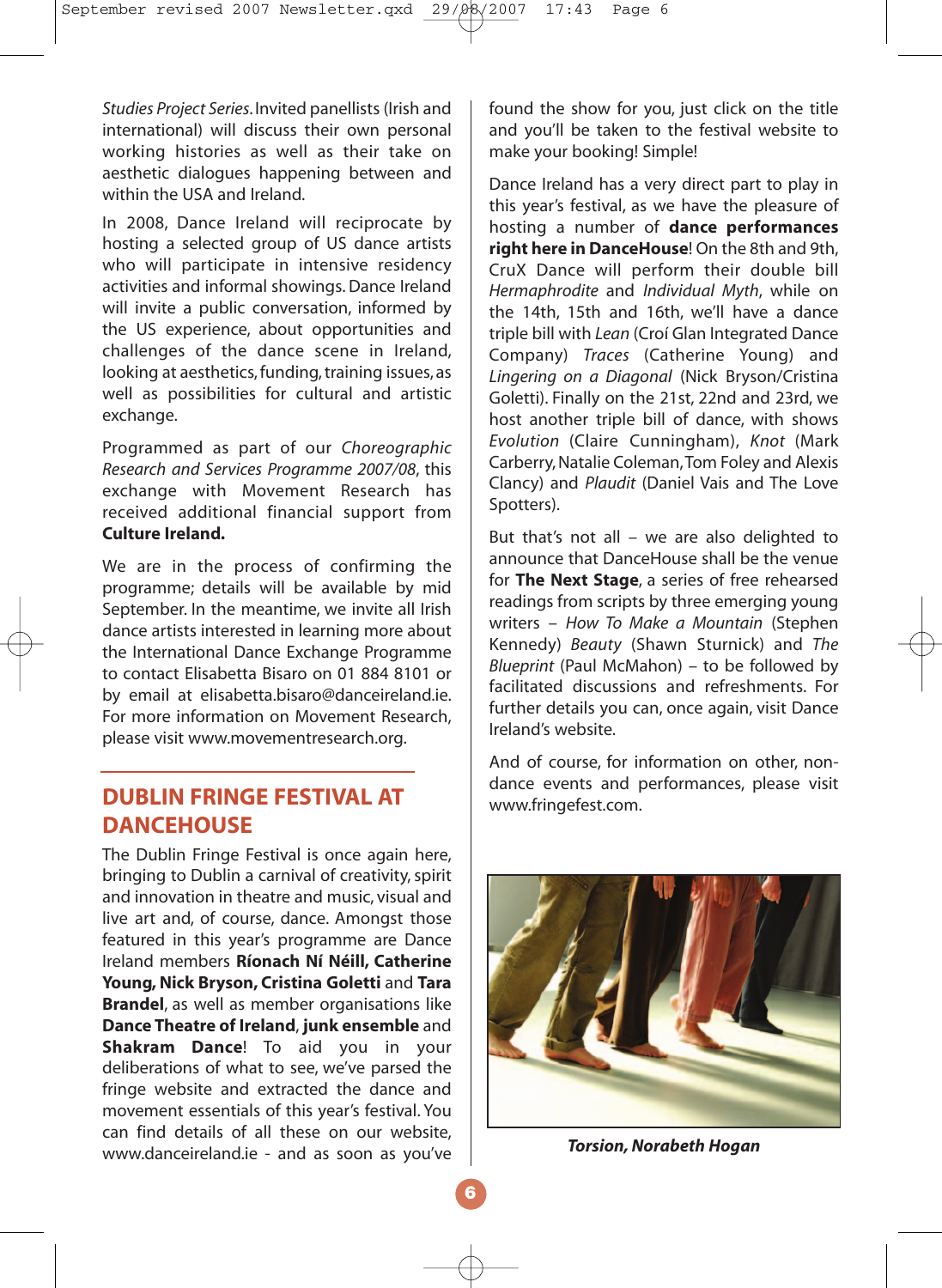*Studies Project Series*. Invited panellists (Irish and international) will discuss their own personal working histories as well as their take on aesthetic dialogues happening between and within the USA and Ireland.

In 2008, Dance Ireland will reciprocate by hosting a selected group of US dance artists who will participate in intensive residency activities and informal showings. Dance Ireland will invite a public conversation, informed by the US experience, about opportunities and challenges of the dance scene in Ireland, looking at aesthetics, funding, training issues, as well as possibilities for cultural and artistic exchange.

Programmed as part of our *Choreographic Research and Services Programme 2007/08*, this exchange with Movement Research has received additional financial support from **Culture Ireland.**

We are in the process of confirming the programme; details will be available by mid September. In the meantime, we invite all Irish dance artists interested in learning more about the International Dance Exchange Programme to contact Elisabetta Bisaro on 01 884 8101 or by email at elisabetta.bisaro@danceireland.ie. For more information on Movement Research, please visit www.movementresearch.org.

#### **DUBLIN FRINGE FESTIVAL AT DANCEHOUSE**

The Dublin Fringe Festival is once again here, bringing to Dublin a carnival of creativity, spirit and innovation in theatre and music, visual and live art and, of course, dance. Amongst those featured in this year's programme are Dance Ireland members **Ríonach Ní Néill, Catherine Young, Nick Bryson, Cristina Goletti** and **Tara Brandel**, as well as member organisations like **Dance Theatre of Ireland**, **junk ensemble** and **Shakram Dance**! To aid you in your deliberations of what to see, we've parsed the fringe website and extracted the dance and movement essentials of this year's festival. You can find details of all these on our website, www.danceireland.ie - and as soon as you've found the show for you, just click on the title and you'll be taken to the festival website to make your booking! Simple!

Dance Ireland has a very direct part to play in this year's festival, as we have the pleasure of hosting a number of **dance performances right here in DanceHouse**! On the 8th and 9th, CruX Dance will perform their double bill *Hermaphrodite* and *Individual Myth*, while on the 14th, 15th and 16th, we'll have a dance triple bill with *Lean* (Croí Glan Integrated Dance Company) *Traces* (Catherine Young) and *Lingering on a Diagonal* (Nick Bryson/Cristina Goletti). Finally on the 21st, 22nd and 23rd, we host another triple bill of dance, with shows *Evolution* (Claire Cunningham), *Knot* (Mark Carberry, Natalie Coleman,Tom Foley and Alexis Clancy) and *Plaudit* (Daniel Vais and The Love Spotters).

But that's not all – we are also delighted to announce that DanceHouse shall be the venue for **The Next Stage**, a series of free rehearsed readings from scripts by three emerging young writers – *How To Make a Mountain* (Stephen Kennedy) *Beauty* (Shawn Sturnick) and *The Blueprint* (Paul McMahon) – to be followed by facilitated discussions and refreshments. For further details you can, once again, visit Dance Ireland's website.

And of course, for information on other, nondance events and performances, please visit www.fringefest.com.



*Torsion, Norabeth Hogan*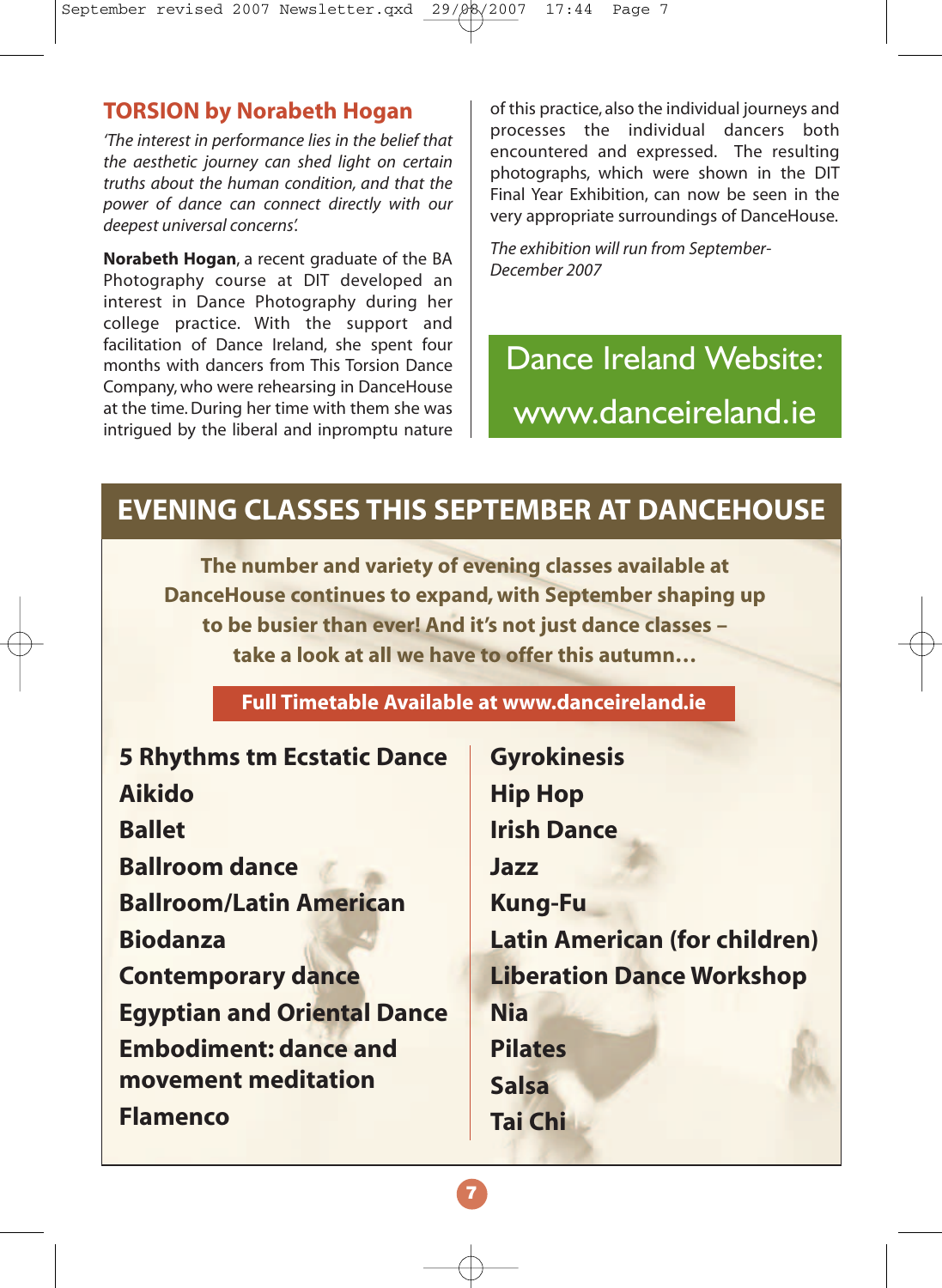#### **TORSION by Norabeth Hogan**

*'The interest in performance lies in the belief that the aesthetic journey can shed light on certain truths about the human condition, and that the power of dance can connect directly with our deepest universal concerns'.*

**Norabeth Hogan**, a recent graduate of the BA Photography course at DIT developed an interest in Dance Photography during her college practice. With the support and facilitation of Dance Ireland, she spent four months with dancers from This Torsion Dance Company, who were rehearsing in DanceHouse at the time. During her time with them she was intrigued by the liberal and inpromptu nature of this practice, also the individual journeys and processes the individual dancers both encountered and expressed. The resulting photographs, which were shown in the DIT Final Year Exhibition, can now be seen in the very appropriate surroundings of DanceHouse.

*The exhibition will run from September-December 2007*

Dance Ireland Website: www.danceireland.ie

## **EVENING CLASSES THIS SEPTEMBER AT DANCEHOUSE**

**The number and variety of evening classes available at DanceHouse continues to expand, with September shaping up to be busier than ever! And it's not just dance classes – take a look at all we have to offer this autumn…**

#### **Full Timetable Available at www.danceireland.ie**

| <b>5 Rhythms tm Ecstatic Dance</b> |
|------------------------------------|
| <b>Aikido</b>                      |
| <b>Ballet</b>                      |
| <b>Ballroom dance</b>              |
| <b>Ballroom/Latin American</b>     |
| <b>Biodanza</b>                    |
| <b>Contemporary dance</b>          |
| <b>Egyptian and Oriental Dance</b> |
| <b>Embodiment: dance and</b>       |
| movement meditation                |
| <b>Flamenco</b>                    |
|                                    |

**Gyrokinesis Hip Hop Irish Dance Jazz Kung-Fu Latin American (for children) Liberation Dance Workshop Nia Pilates Salsa Tai Chi**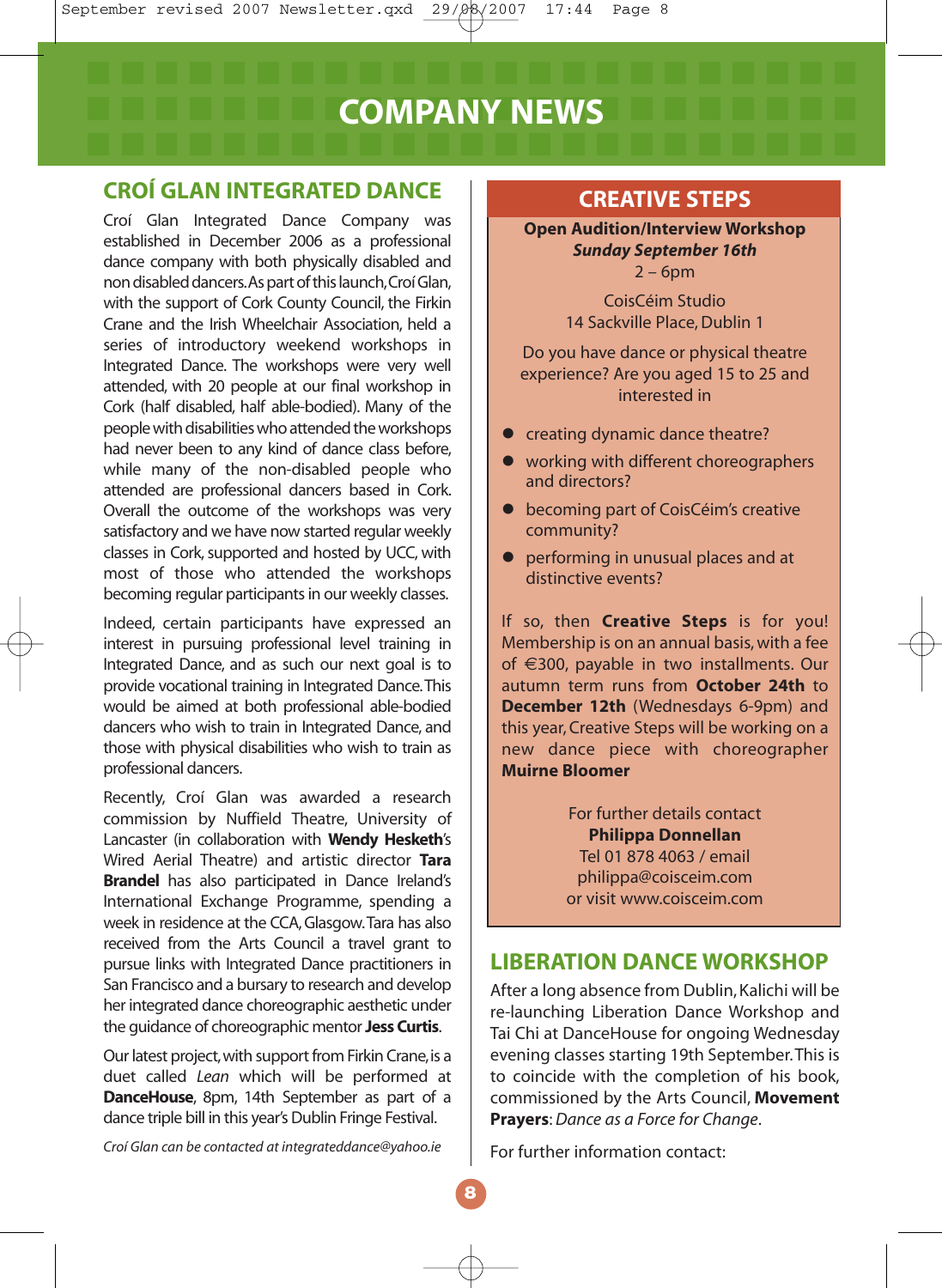## **COMPANY NEWS**

#### **CROÍ GLAN INTEGRATED DANCE**

Croí Glan Integrated Dance Company was established in December 2006 as a professional dance company with both physically disabled and non disabled dancers.As part of this launch,Croí Glan, with the support of Cork County Council, the Firkin Crane and the Irish Wheelchair Association, held a series of introductory weekend workshops in Integrated Dance. The workshops were very well attended, with 20 people at our final workshop in Cork (half disabled, half able-bodied). Many of the people with disabilities who attended the workshops had never been to any kind of dance class before, while many of the non-disabled people who attended are professional dancers based in Cork. Overall the outcome of the workshops was very satisfactory and we have now started regular weekly classes in Cork, supported and hosted by UCC, with most of those who attended the workshops becoming regular participants in our weekly classes.

Indeed, certain participants have expressed an interest in pursuing professional level training in Integrated Dance, and as such our next goal is to provide vocational training in Integrated Dance.This would be aimed at both professional able-bodied dancers who wish to train in Integrated Dance, and those with physical disabilities who wish to train as professional dancers.

Recently, Croí Glan was awarded a research commission by Nuffield Theatre, University of Lancaster (in collaboration with **Wendy Hesketh**'s Wired Aerial Theatre) and artistic director **Tara Brandel** has also participated in Dance Ireland's International Exchange Programme, spending a week in residence at the CCA, Glasgow.Tara has also received from the Arts Council a travel grant to pursue links with Integrated Dance practitioners in San Francisco and a bursary to research and develop her integrated dance choreographic aesthetic under the guidance of choreographic mentor **Jess Curtis**.

Our latest project, with support from Firkin Crane, is a duet called *Lean* which will be performed at **DanceHouse**, 8pm, 14th September as part of a dance triple bill in this year's Dublin Fringe Festival.

*Croí Glan can be contacted at integrateddance@yahoo.ie*

#### **CREATIVE STEPS**

**Open Audition/Interview Workshop** *Sunday September 16th*  $2 - 6$ pm

> CoisCéim Studio 14 Sackville Place, Dublin 1

Do you have dance or physical theatre experience? Are you aged 15 to 25 and interested in

- $\bullet$  creating dynamic dance theatre?
- working with different choreographers and directors?
- **•** becoming part of CoisCéim's creative community?
- **•** performing in unusual places and at distinctive events?

If so, then **Creative Steps** is for you! Membership is on an annual basis, with a fee of €300, payable in two installments. Our autumn term runs from **October 24th** to **December 12th** (Wednesdays 6-9pm) and this year, Creative Steps will be working on a new dance piece with choreographer **Muirne Bloomer**

> For further details contact **Philippa Donnellan** Tel 01 878 4063 / email philippa@coisceim.com or visit www.coisceim.com

#### **LIBERATION DANCE WORKSHOP**

After a long absence from Dublin, Kalichi will be re-launching Liberation Dance Workshop and Tai Chi at DanceHouse for ongoing Wednesday evening classes starting 19th September.This is to coincide with the completion of his book, commissioned by the Arts Council, **Movement Prayers**: *Dance as a Force for Change*.

For further information contact: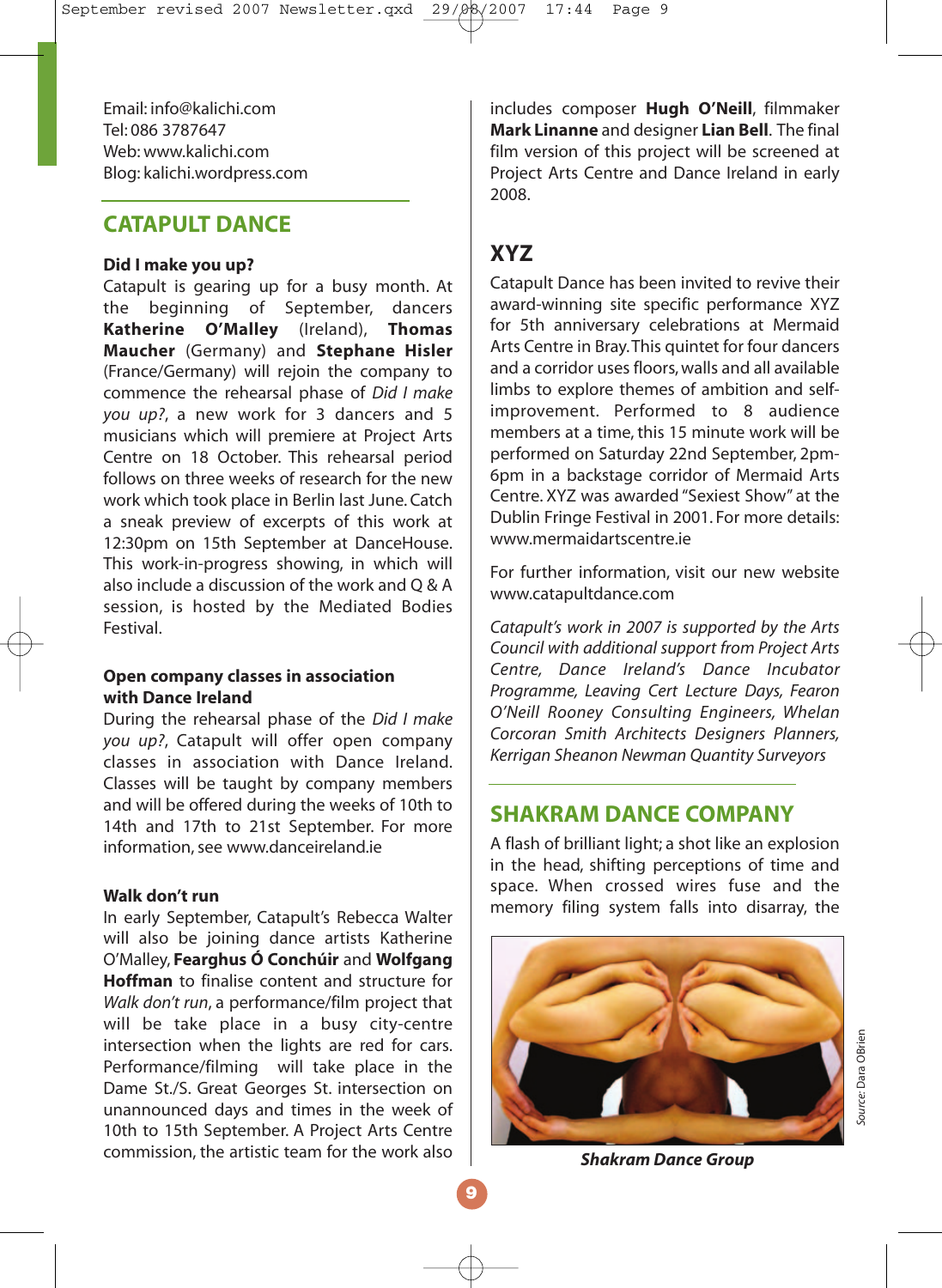Email: info@kalichi.com Tel: 086 3787647 Web: www.kalichi.com Blog: kalichi.wordpress.com

#### **CATAPULT DANCE**

#### **Did I make you up?**

Catapult is gearing up for a busy month. At the beginning of September, dancers **Katherine O'Malley** (Ireland), **Thomas Maucher** (Germany) and **Stephane Hisler** (France/Germany) will rejoin the company to commence the rehearsal phase of *Did I make you up?*, a new work for 3 dancers and 5 musicians which will premiere at Project Arts Centre on 18 October. This rehearsal period follows on three weeks of research for the new work which took place in Berlin last June. Catch a sneak preview of excerpts of this work at 12:30pm on 15th September at DanceHouse. This work-in-progress showing, in which will also include a discussion of the work and  $\bigcap$  & A session, is hosted by the Mediated Bodies Festival.

#### **Open company classes in association with Dance Ireland**

During the rehearsal phase of the *Did I make you up?*, Catapult will offer open company classes in association with Dance Ireland. Classes will be taught by company members and will be offered during the weeks of 10th to 14th and 17th to 21st September. For more information, see www.danceireland.ie

#### **Walk don't run**

In early September, Catapult's Rebecca Walter will also be joining dance artists Katherine O'Malley, **Fearghus Ó Conchúir** and **Wolfgang Hoffman** to finalise content and structure for *Walk don't run*, a performance/film project that will be take place in a busy city-centre intersection when the lights are red for cars. Performance/filming will take place in the Dame St./S. Great Georges St. intersection on unannounced days and times in the week of 10th to 15th September. A Project Arts Centre commission, the artistic team for the work also

includes composer **Hugh O'Neill**, filmmaker **Mark Linanne** and designer **Lian Bell**. The final film version of this project will be screened at Project Arts Centre and Dance Ireland in early 2008.

#### **XYZ**

Catapult Dance has been invited to revive their award-winning site specific performance XYZ for 5th anniversary celebrations at Mermaid Arts Centre in Bray.This quintet for four dancers and a corridor uses floors, walls and all available limbs to explore themes of ambition and selfimprovement. Performed to 8 audience members at a time, this 15 minute work will be performed on Saturday 22nd September, 2pm-6pm in a backstage corridor of Mermaid Arts Centre. XYZ was awarded "Sexiest Show" at the Dublin Fringe Festival in 2001. For more details: www.mermaidartscentre.ie

For further information, visit our new website www.catapultdance.com

*Catapult's work in 2007 is supported by the Arts Council with additional support from Project Arts Centre, Dance Ireland's Dance Incubator Programme, Leaving Cert Lecture Days, Fearon O'Neill Rooney Consulting Engineers, Whelan Corcoran Smith Architects Designers Planners, Kerrigan Sheanon Newman Quantity Surveyors*

#### **SHAKRAM DANCE COMPANY**

A flash of brilliant light; a shot like an explosion in the head, shifting perceptions of time and space. When crossed wires fuse and the memory filing system falls into disarray, the



*Shakram Dance Group*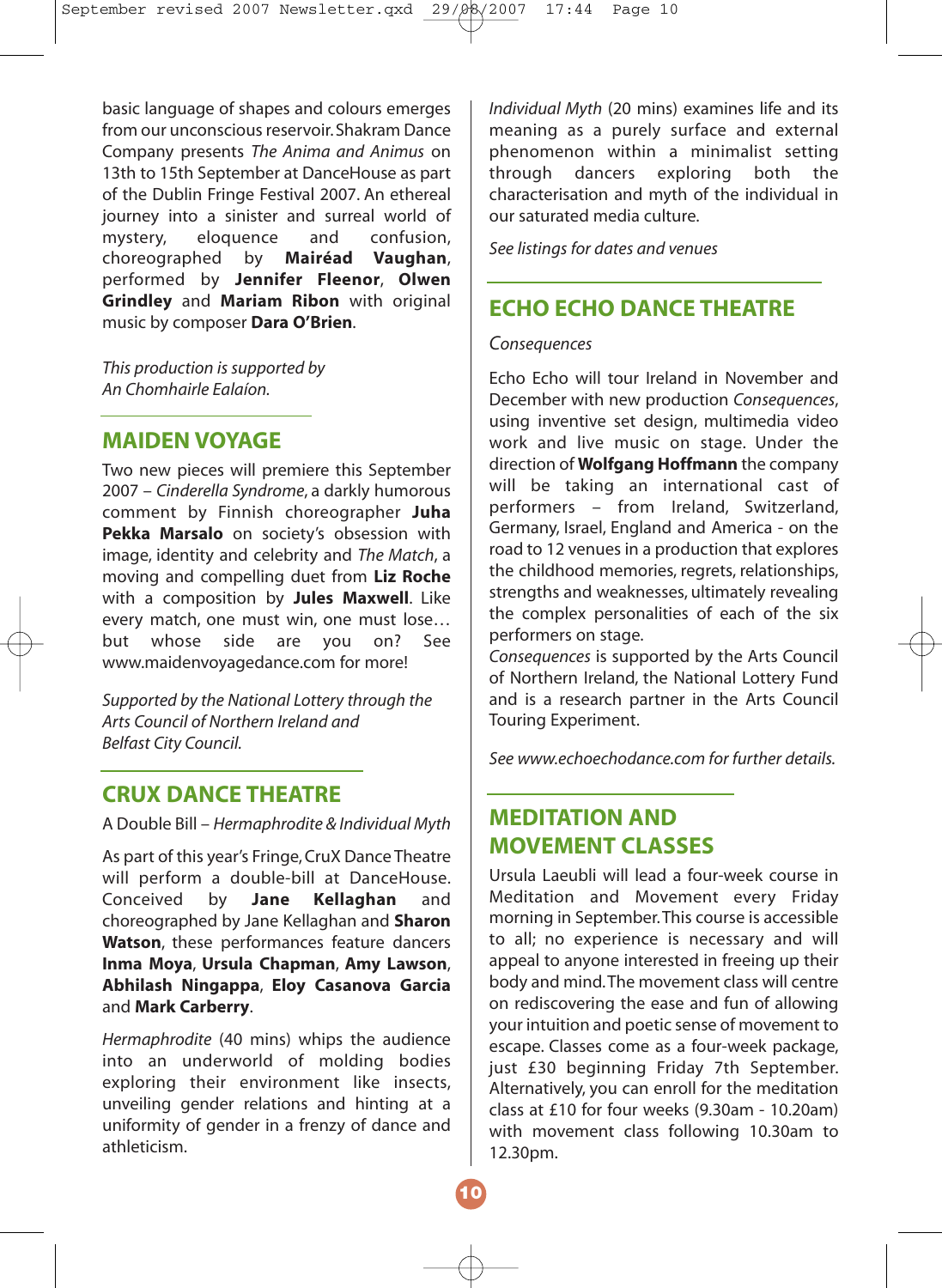basic language of shapes and colours emerges from our unconscious reservoir. Shakram Dance Company presents *The Anima and Animus* on 13th to 15th September at DanceHouse as part of the Dublin Fringe Festival 2007. An ethereal journey into a sinister and surreal world of<br>mystery. eloquence and confusion. eloquence choreographed by **Mairéad Vaughan**, performed by **Jennifer Fleenor**, **Olwen Grindley** and **Mariam Ribon** with original music by composer **Dara O'Brien**.

*This production is supported by An Chomhairle Ealaíon.*

#### **MAIDEN VOYAGE**

Two new pieces will premiere this September 2007 – *Cinderella Syndrome*, a darkly humorous comment by Finnish choreographer **Juha Pekka Marsalo** on society's obsession with image, identity and celebrity and *The Match*, a moving and compelling duet from **Liz Roche** with a composition by **Jules Maxwell**. Like every match, one must win, one must lose… but whose side are you on? See www.maidenvoyagedance.com for more!

*Supported by the National Lottery through the Arts Council of Northern Ireland and Belfast City Council.*

#### **CRUX DANCE THEATRE**

A Double Bill – *Hermaphrodite & Individual Myth*

As part of this year's Fringe, CruX Dance Theatre will perform a double-bill at DanceHouse. Conceived by **Jane Kellaghan** and choreographed by Jane Kellaghan and **Sharon Watson**, these performances feature dancers **Inma Moya**, **Ursula Chapman**, **Amy Lawson**, **Abhilash Ningappa**, **Eloy Casanova Garcia** and **Mark Carberry**.

*Hermaphrodite* (40 mins) whips the audience into an underworld of molding bodies exploring their environment like insects, unveiling gender relations and hinting at a uniformity of gender in a frenzy of dance and athleticism.

*Individual Myth* (20 mins) examines life and its meaning as a purely surface and external phenomenon within a minimalist setting through dancers exploring both the characterisation and myth of the individual in our saturated media culture.

*See listings for dates and venues*

#### **ECHO ECHO DANCE THEATRE**

*Consequences*

Echo Echo will tour Ireland in November and December with new production *Consequences*, using inventive set design, multimedia video work and live music on stage. Under the direction of **Wolfgang Hoffmann** the company will be taking an international cast of performers – from Ireland, Switzerland, Germany, Israel, England and America - on the road to 12 venues in a production that explores the childhood memories, regrets, relationships, strengths and weaknesses, ultimately revealing the complex personalities of each of the six performers on stage.

*Consequences* is supported by the Arts Council of Northern Ireland, the National Lottery Fund and is a research partner in the Arts Council Touring Experiment.

*See www.echoechodance.com for further details.*

#### **MEDITATION AND MOVEMENT CLASSES**

Ursula Laeubli will lead a four-week course in Meditation and Movement every Friday morning in September.This course is accessible to all; no experience is necessary and will appeal to anyone interested in freeing up their body and mind.The movement class will centre on rediscovering the ease and fun of allowing your intuition and poetic sense of movement to escape. Classes come as a four-week package, just £30 beginning Friday 7th September. Alternatively, you can enroll for the meditation class at £10 for four weeks (9.30am - 10.20am) with movement class following 10.30am to 12.30pm.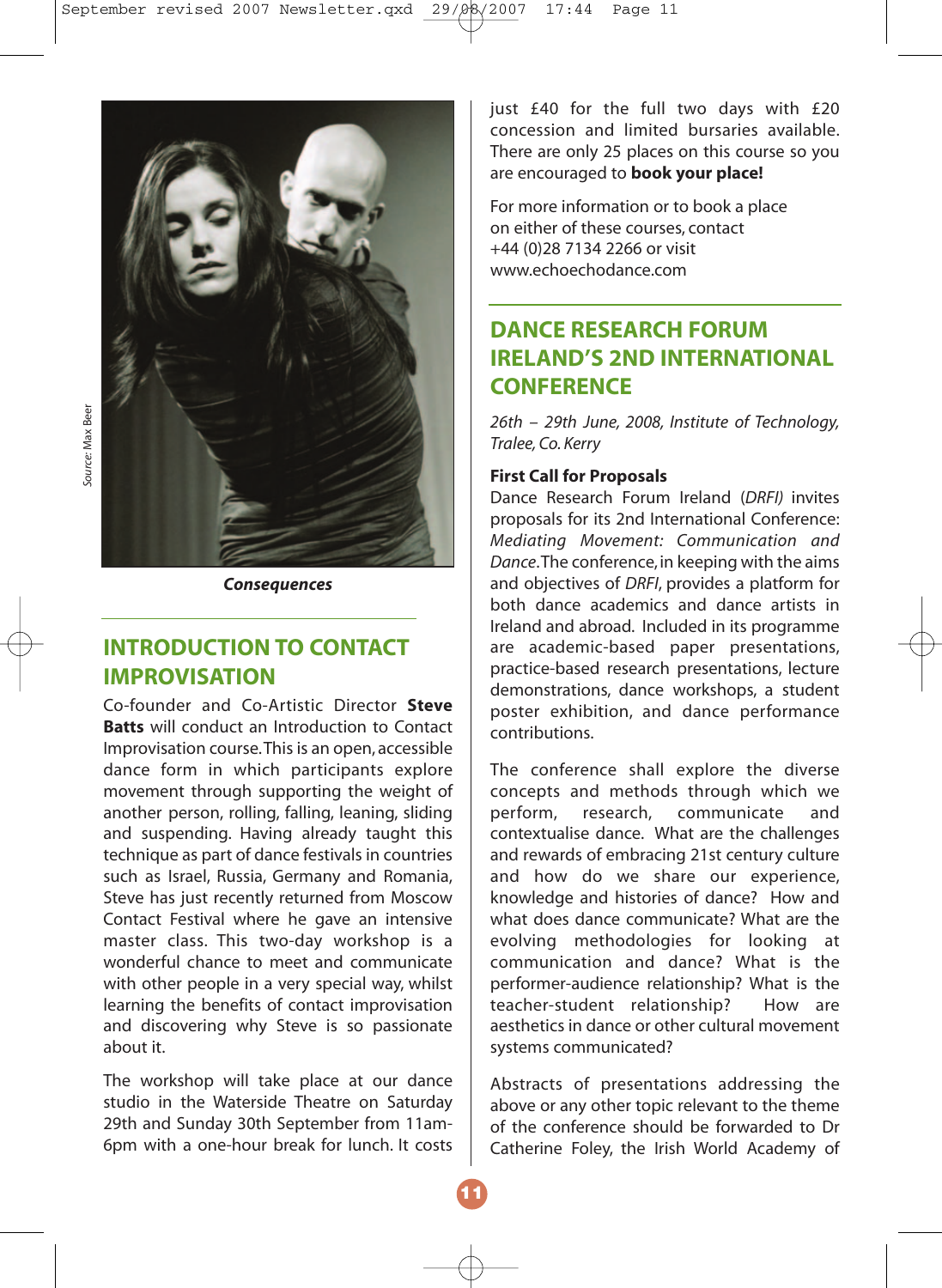

*Consequences*

#### **INTRODUCTION TO CONTACT IMPROVISATION**

Co-founder and Co-Artistic Director **Steve Batts** will conduct an Introduction to Contact Improvisation course.This is an open, accessible dance form in which participants explore movement through supporting the weight of another person, rolling, falling, leaning, sliding and suspending. Having already taught this technique as part of dance festivals in countries such as Israel, Russia, Germany and Romania, Steve has just recently returned from Moscow Contact Festival where he gave an intensive master class. This two-day workshop is a wonderful chance to meet and communicate with other people in a very special way, whilst learning the benefits of contact improvisation and discovering why Steve is so passionate about it.

The workshop will take place at our dance studio in the Waterside Theatre on Saturday 29th and Sunday 30th September from 11am-6pm with a one-hour break for lunch. It costs

just  $£40$  for the full two days with  $£20$ concession and limited bursaries available. There are only 25 places on this course so you are encouraged to **book your place!**

For more information or to book a place on either of these courses, contact +44 (0)28 7134 2266 or visit www.echoechodance.com

#### **DANCE RESEARCH FORUM IRELAND'S 2ND INTERNATIONAL CONFERENCE**

*26th – 29th June, 2008, Institute of Technology, Tralee, Co. Kerry*

#### **First Call for Proposals**

Dance Research Forum Ireland (*DRFI)* invites proposals for its 2nd International Conference: *Mediating Movement: Communication and Dance*.The conference, in keeping with the aims and objectives of *DRFI*, provides a platform for both dance academics and dance artists in Ireland and abroad. Included in its programme are academic-based paper presentations, practice-based research presentations, lecture demonstrations, dance workshops, a student poster exhibition, and dance performance contributions.

The conference shall explore the diverse concepts and methods through which we perform, research, communicate and contextualise dance. What are the challenges and rewards of embracing 21st century culture and how do we share our experience, knowledge and histories of dance? How and what does dance communicate? What are the evolving methodologies for looking at communication and dance? What is the performer-audience relationship? What is the teacher-student relationship? How are aesthetics in dance or other cultural movement systems communicated?

Abstracts of presentations addressing the above or any other topic relevant to the theme of the conference should be forwarded to Dr Catherine Foley, the Irish World Academy of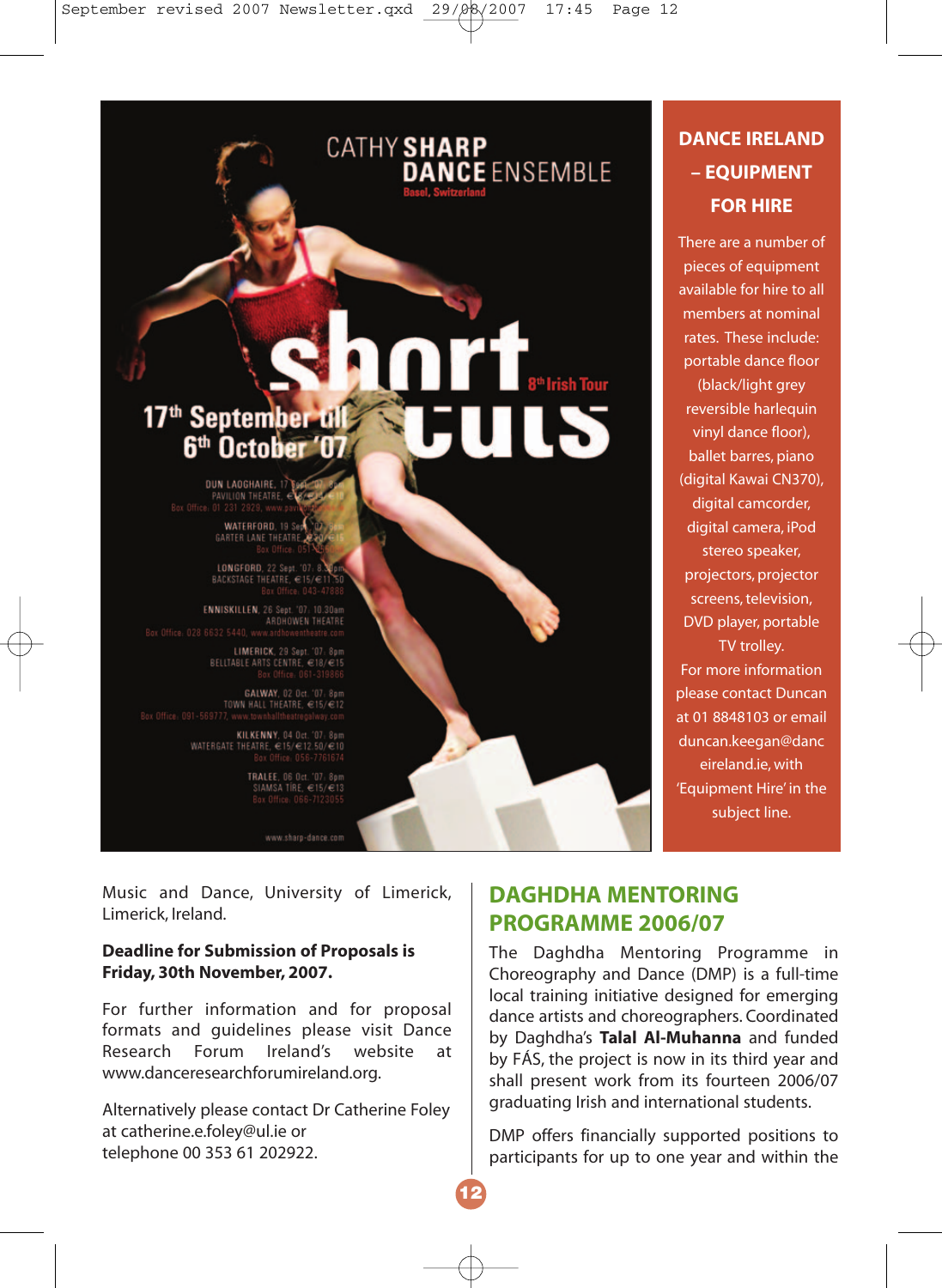# 17<sup>th</sup> September 1 6<sup>th</sup> October '07

**CATHY SHARP** 

**DANCE ENSEMBLE** 

DUN LAOGHAIRE, 1 PAVILION THEATRE, Box Office: 01 231 2929, www.pa

> WATERFORD, 19 Sep **GARTER LANE THEATRE**

LONGFORD, 22 Sept. '07: 8.3<br>BACKSTAGE THEATRE, €15/€1 Roy Office, 043-4788

ENNISKILLEN, 26 Sept. '07: 10.30am<br>ARDHOWEN THEATRE<br>Box Office: 028 6632 5440, www.ardhowentheatre.com

LIMERICK, 29 Sept. '07: 8pm BELLTABLE ARTS CENTRE, €18/€15

**GALWAY, 02 Oct. '07: 8pm**<br>TOWN HALL THEATRE, €15/€12 Box Office: 091-569777, www.townhalltheatregalway

> KILKENNY, 04 Oct. '07: 8pm WATERGATE THEATRE, C15/C12.50/C10

> > **TRALEE, 06 Oct. '07: 8pm** SIAMSA TÍRE, €15/€13<br>Box Office: 066-7123055

> > > www.sharp-dance.com

Music and Dance, University of Limerick, Limerick, Ireland.

#### **Deadline for Submission of Proposals is Friday, 30th November, 2007.**

For further information and for proposal formats and guidelines please visit Dance Research Forum Ireland's website at www.danceresearchforumireland.org.

Alternatively please contact Dr Catherine Foley at catherine.e.foley@ul.ie or telephone 00 353 61 202922.

#### **DANCE IRELAND – EQUIPMENT FOR HIRE**

There are a number of pieces of equipment available for hire to all members at nominal rates. These include: portable dance floor (black/light grey reversible harlequin vinyl dance floor), ballet barres, piano (digital Kawai CN370), digital camcorder. digital camera, iPod stereo speaker, projectors, projector screens, television, DVD player, portable TV trolley. For more information please contact Duncan at 01 8848103 or email duncan.keegan@danc eireland.ie, with 'Equipment Hire' in the

subject line.

#### **DAGHDHA MENTORING PROGRAMME 2006/07**

The Daghdha Mentoring Programme in Choreography and Dance (DMP) is a full-time local training initiative designed for emerging dance artists and choreographers. Coordinated by Daghdha's **Talal Al-Muhanna** and funded by FÁS, the project is now in its third year and shall present work from its fourteen 2006/07 graduating Irish and international students.

DMP offers financially supported positions to participants for up to one year and within the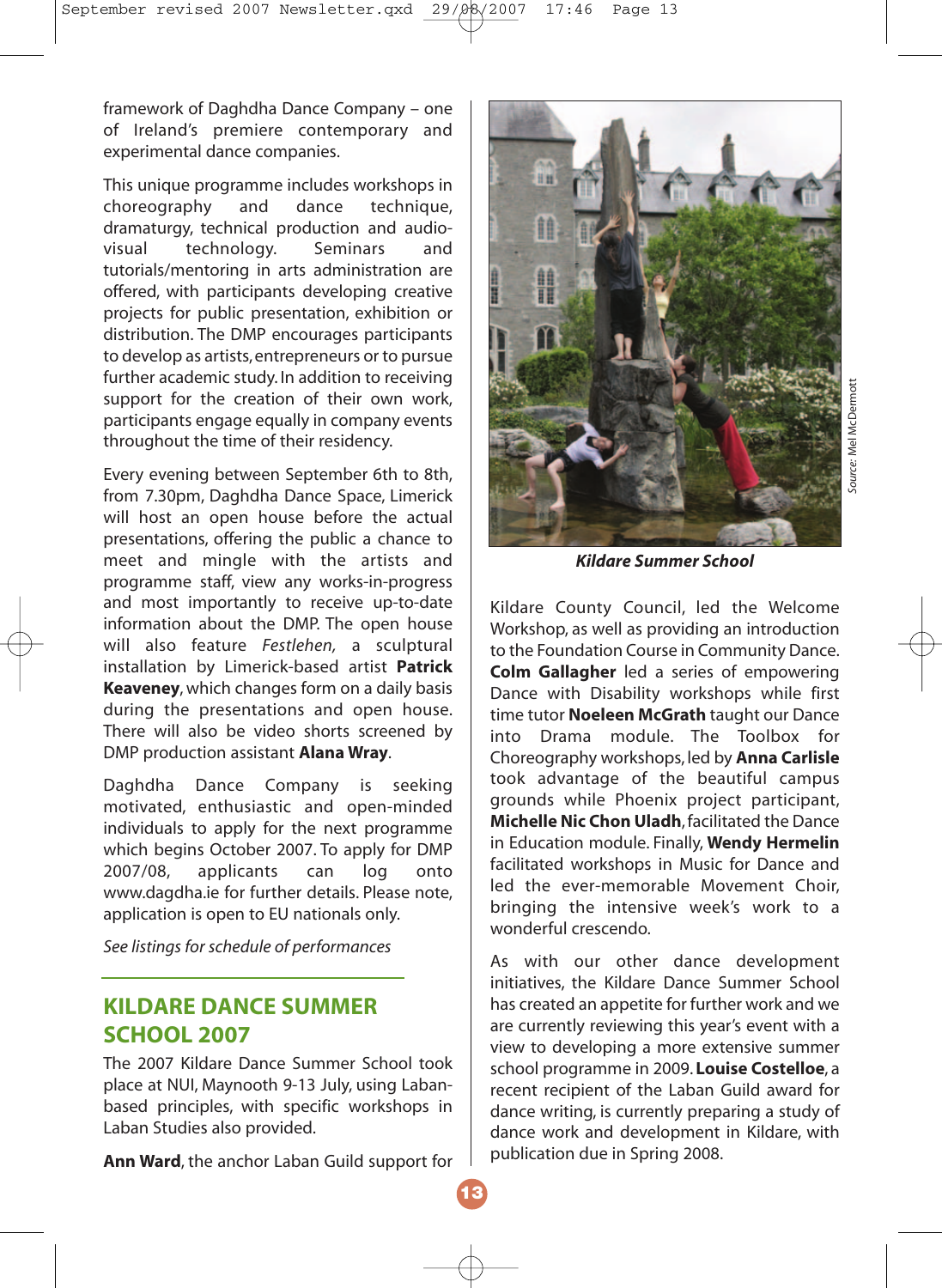framework of Daghdha Dance Company – one of Ireland's premiere contemporary and experimental dance companies.

This unique programme includes workshops in<br>
choreography and dance technique. choreography and dance technique, dramaturgy, technical production and audio-<br>
visual technology. Seminars and technology. tutorials/mentoring in arts administration are offered, with participants developing creative projects for public presentation, exhibition or distribution. The DMP encourages participants to develop as artists, entrepreneurs or to pursue further academic study. In addition to receiving support for the creation of their own work, participants engage equally in company events throughout the time of their residency.

Every evening between September 6th to 8th, from 7.30pm, Daghdha Dance Space, Limerick will host an open house before the actual presentations, offering the public a chance to meet and mingle with the artists and programme staff, view any works-in-progress and most importantly to receive up-to-date information about the DMP. The open house will also feature *Festlehen,* a sculptural installation by Limerick-based artist **Patrick Keaveney**, which changes form on a daily basis during the presentations and open house. There will also be video shorts screened by DMP production assistant **Alana Wray**.

Daghdha Dance Company is seeking motivated, enthusiastic and open-minded individuals to apply for the next programme which begins October 2007. To apply for DMP 2007/08, applicants can log onto www.dagdha.ie for further details. Please note, application is open to EU nationals only.

*See listings for schedule of performances*

#### **KILDARE DANCE SUMMER SCHOOL 2007**

The 2007 Kildare Dance Summer School took place at NUI, Maynooth 9-13 July, using Labanbased principles, with specific workshops in Laban Studies also provided.

**Ann Ward**, the anchor Laban Guild support for



*Kildare Summer School*

*Source:* Mel McDermott

iource: Mel McDermot

Kildare County Council, led the Welcome Workshop, as well as providing an introduction to the Foundation Course in Community Dance. **Colm Gallagher** led a series of empowering Dance with Disability workshops while first time tutor **Noeleen McGrath** taught our Dance into Drama module. The Toolbox for Choreography workshops, led by **Anna Carlisle** took advantage of the beautiful campus grounds while Phoenix project participant, **Michelle Nic Chon Uladh**, facilitated the Dance in Education module. Finally, **Wendy Hermelin** facilitated workshops in Music for Dance and led the ever-memorable Movement Choir, bringing the intensive week's work to a wonderful crescendo.

As with our other dance development initiatives, the Kildare Dance Summer School has created an appetite for further work and we are currently reviewing this year's event with a view to developing a more extensive summer school programme in 2009. **Louise Costelloe**, a recent recipient of the Laban Guild award for dance writing, is currently preparing a study of dance work and development in Kildare, with publication due in Spring 2008.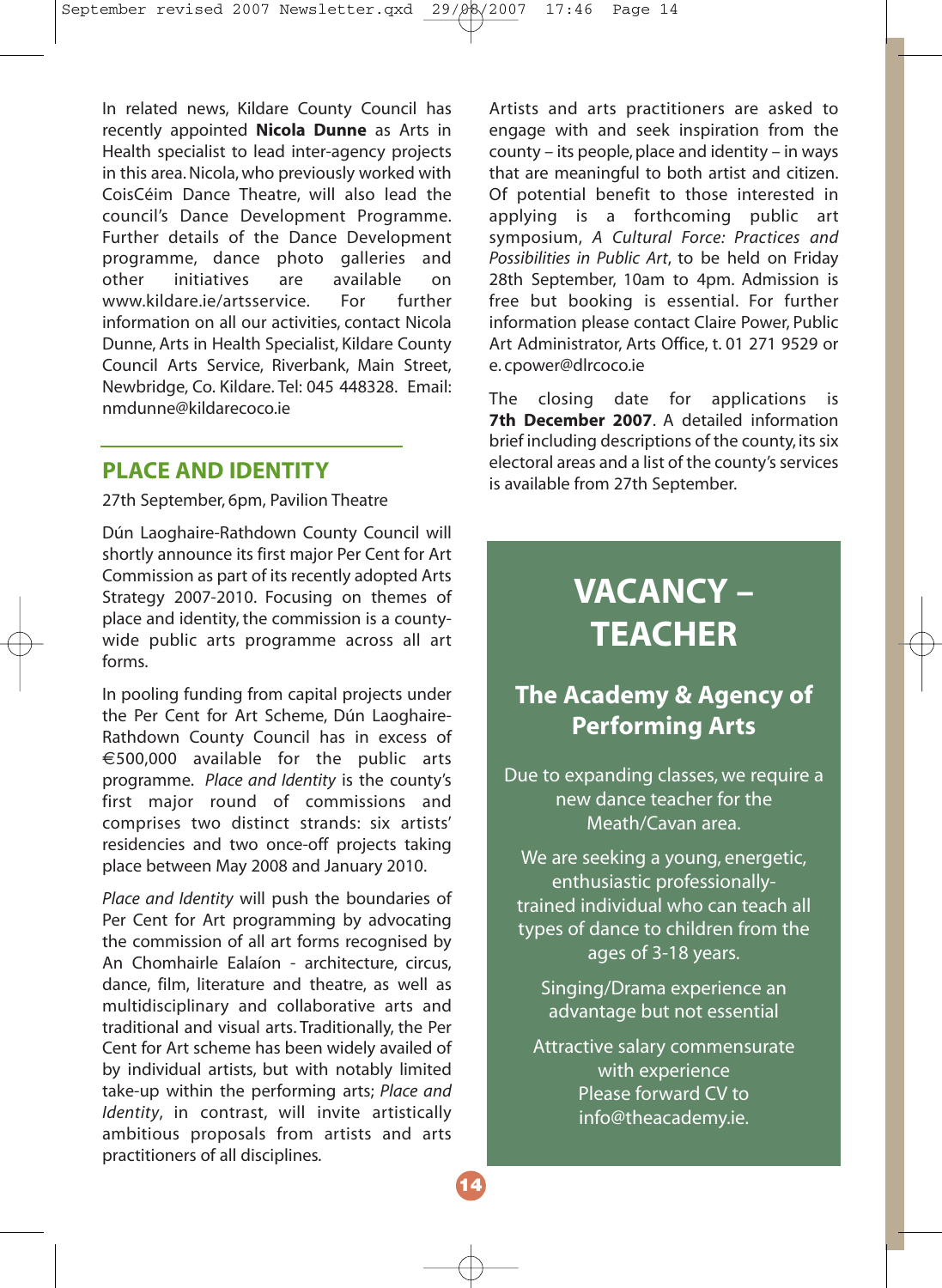In related news, Kildare County Council has recently appointed **Nicola Dunne** as Arts in Health specialist to lead inter-agency projects in this area. Nicola, who previously worked with CoisCéim Dance Theatre, will also lead the council's Dance Development Programme. Further details of the Dance Development programme, dance photo galleries and other initiatives are available on<br>www.kildare.ie/artsservice. For further www.kildare.je/artsservice. information on all our activities, contact Nicola Dunne, Arts in Health Specialist, Kildare County Council Arts Service, Riverbank, Main Street, Newbridge, Co. Kildare. Tel: 045 448328. Email: nmdunne@kildarecoco.ie

#### **PLACE AND IDENTITY**

27th September, 6pm, Pavilion Theatre

Dún Laoghaire-Rathdown County Council will shortly announce its first major Per Cent for Art Commission as part of its recently adopted Arts Strategy 2007-2010. Focusing on themes of place and identity, the commission is a countywide public arts programme across all art forms.

In pooling funding from capital projects under the Per Cent for Art Scheme, Dún Laoghaire-Rathdown County Council has in excess of €500,000 available for the public arts programme. *Place and Identity* is the county's first major round of commissions and comprises two distinct strands: six artists' residencies and two once-off projects taking place between May 2008 and January 2010.

*Place and Identity* will push the boundaries of Per Cent for Art programming by advocating the commission of all art forms recognised by An Chomhairle Ealaíon - architecture, circus, dance, film, literature and theatre, as well as multidisciplinary and collaborative arts and traditional and visual arts. Traditionally, the Per Cent for Art scheme has been widely availed of by individual artists, but with notably limited take-up within the performing arts; *Place and Identity*, in contrast, will invite artistically ambitious proposals from artists and arts practitioners of all disciplines*.*

Artists and arts practitioners are asked to engage with and seek inspiration from the county – its people, place and identity – in ways that are meaningful to both artist and citizen. Of potential benefit to those interested in applying is a forthcoming public art symposium, *A Cultural Force: Practices and Possibilities in Public Art*, to be held on Friday 28th September, 10am to 4pm. Admission is free but booking is essential. For further information please contact Claire Power, Public Art Administrator, Arts Office, t. 01 271 9529 or e. cpower@dlrcoco.ie

The closing date for applications is **7th December 2007**. A detailed information brief including descriptions of the county, its six electoral areas and a list of the county's services is available from 27th September.

# **VACANCY – TEACHER**

#### **The Academy & Agency of Performing Arts**

Due to expanding classes, we require a new dance teacher for the Meath/Cavan area.

We are seeking a young, energetic, enthusiastic professionallytrained individual who can teach all types of dance to children from the ages of 3-18 years.

Singing/Drama experience an advantage but not essential

Attractive salary commensurate with experience Please forward CV to info@theacademy.ie.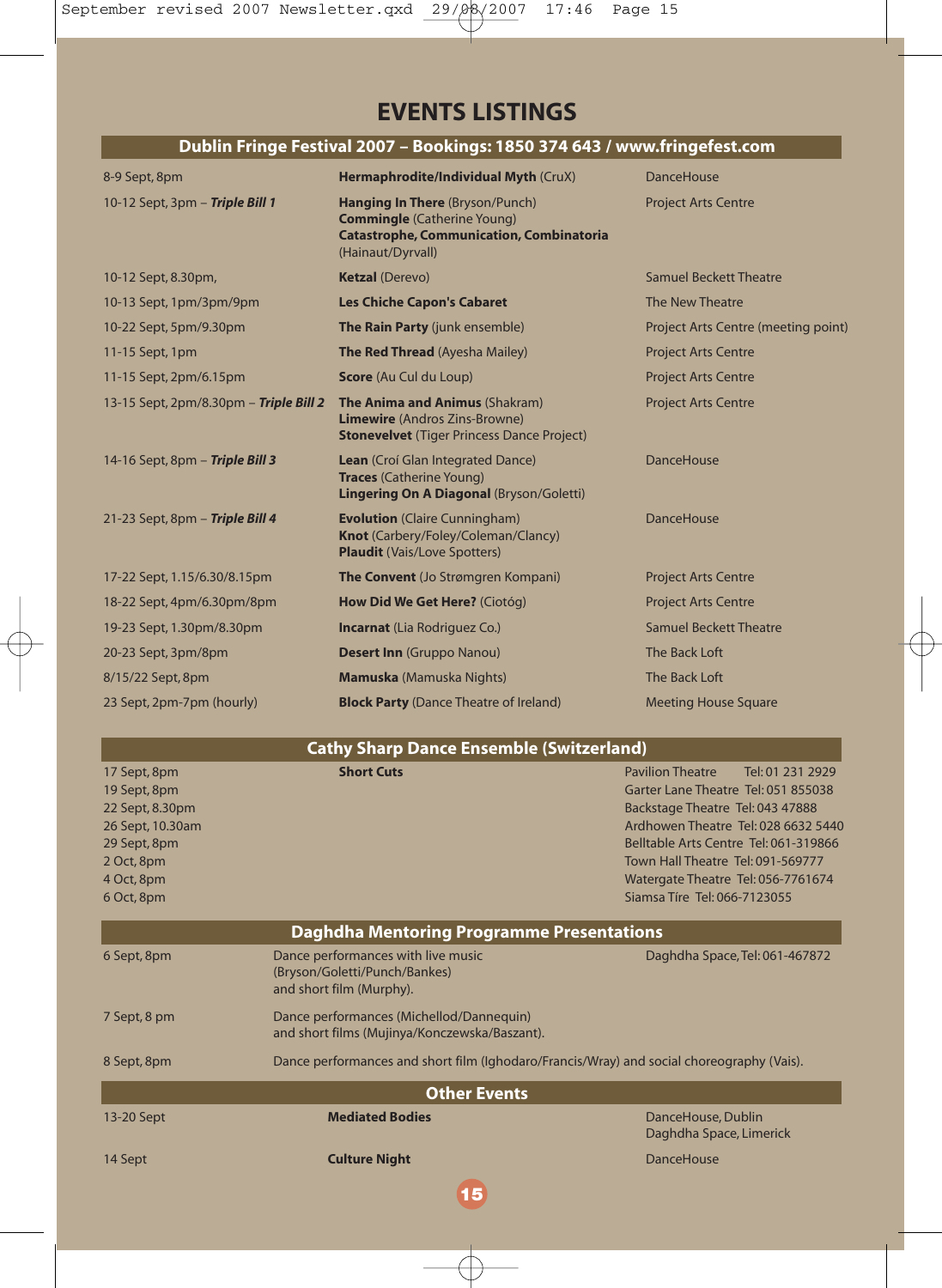#### **EVENTS LISTINGS**

#### **Dublin Fringe Festival 2007 – Bookings: 1850 374 643 / www.fringefest.com**

| 8-9 Sept, 8pm                                 | Hermaphrodite/Individual Myth (CruX)                                                                                                                 | <b>DanceHouse</b>                   |
|-----------------------------------------------|------------------------------------------------------------------------------------------------------------------------------------------------------|-------------------------------------|
| 10-12 Sept, 3pm - Triple Bill 1               | <b>Hanging In There (Bryson/Punch)</b><br><b>Commingle</b> (Catherine Young)<br><b>Catastrophe, Communication, Combinatoria</b><br>(Hainaut/Dyrvall) | <b>Project Arts Centre</b>          |
| 10-12 Sept, 8.30pm,                           | <b>Ketzal (Derevo)</b>                                                                                                                               | Samuel Beckett Theatre              |
| 10-13 Sept, 1pm/3pm/9pm                       | <b>Les Chiche Capon's Cabaret</b>                                                                                                                    | The New Theatre                     |
| 10-22 Sept, 5pm/9.30pm                        | The Rain Party (junk ensemble)                                                                                                                       | Project Arts Centre (meeting point) |
| 11-15 Sept, 1pm                               | <b>The Red Thread</b> (Ayesha Mailey)                                                                                                                | <b>Project Arts Centre</b>          |
| 11-15 Sept, 2pm/6.15pm                        | Score (Au Cul du Loup)                                                                                                                               | <b>Project Arts Centre</b>          |
| 13-15 Sept, 2pm/8.30pm - <b>Triple Bill 2</b> | <b>The Anima and Animus (Shakram)</b><br><b>Limewire</b> (Andros Zins-Browne)<br><b>Stonevelvet</b> (Tiger Princess Dance Project)                   | <b>Project Arts Centre</b>          |
| 14-16 Sept, 8pm - Triple Bill 3               | <b>Lean</b> (Croí Glan Integrated Dance)<br><b>Traces</b> (Catherine Young)<br>Lingering On A Diagonal (Bryson/Goletti)                              | <b>DanceHouse</b>                   |
| 21-23 Sept, 8pm - Triple Bill 4               | <b>Evolution</b> (Claire Cunningham)<br>Knot (Carbery/Foley/Coleman/Clancy)<br><b>Plaudit</b> (Vais/Love Spotters)                                   | <b>DanceHouse</b>                   |
| 17-22 Sept, 1.15/6.30/8.15pm                  | The Convent (Jo Strømgren Kompani)                                                                                                                   | <b>Project Arts Centre</b>          |
| 18-22 Sept, 4pm/6.30pm/8pm                    | How Did We Get Here? (Ciotóg)                                                                                                                        | <b>Project Arts Centre</b>          |
| 19-23 Sept, 1.30pm/8.30pm                     | <b>Incarnat</b> (Lia Rodriguez Co.)                                                                                                                  | Samuel Beckett Theatre              |
| 20-23 Sept, 3pm/8pm                           | <b>Desert Inn</b> (Gruppo Nanou)                                                                                                                     | The Back Loft                       |
| 8/15/22 Sept, 8pm                             | <b>Mamuska</b> (Mamuska Nights)                                                                                                                      | The Back Loft                       |
| 23 Sept, 2pm-7pm (hourly)                     | <b>Block Party (Dance Theatre of Ireland)</b>                                                                                                        | <b>Meeting House Square</b>         |

| <b>Cathy Sharp Dance Ensemble (Switzerland)</b>                                                                               |                                                                                                 |                                                                                                                                                                                                                                                                                                                   |  |  |
|-------------------------------------------------------------------------------------------------------------------------------|-------------------------------------------------------------------------------------------------|-------------------------------------------------------------------------------------------------------------------------------------------------------------------------------------------------------------------------------------------------------------------------------------------------------------------|--|--|
| 17 Sept, 8pm<br>19 Sept, 8pm<br>22 Sept, 8.30pm<br>26 Sept, 10.30am<br>29 Sept, 8pm<br>2 Oct, 8pm<br>4 Oct, 8pm<br>6 Oct, 8pm | <b>Short Cuts</b>                                                                               | <b>Pavilion Theatre</b><br>Tel: 01 231 2929<br>Garter Lane Theatre Tel: 051 855038<br>Backstage Theatre Tel: 043 47888<br>Ardhowen Theatre Tel: 028 6632 5440<br>Belltable Arts Centre Tel: 061-319866<br>Town Hall Theatre Tel: 091-569777<br>Watergate Theatre Tel: 056-7761674<br>Siamsa Tíre Tel: 066-7123055 |  |  |
| Daghdha Mentoring Programme Presentations                                                                                     |                                                                                                 |                                                                                                                                                                                                                                                                                                                   |  |  |
| 6 Sept, 8pm                                                                                                                   | Dance performances with live music<br>(Bryson/Goletti/Punch/Bankes)<br>and short film (Murphy). | Daghdha Space, Tel: 061-467872                                                                                                                                                                                                                                                                                    |  |  |
| 7 Sept, 8 pm                                                                                                                  | Dance performances (Michellod/Dannequin)<br>and short films (Mujinya/Konczewska/Baszant).       |                                                                                                                                                                                                                                                                                                                   |  |  |
| 8 Sept, 8pm                                                                                                                   | Dance performances and short film (Ighodaro/Francis/Wray) and social choreography (Vais).       |                                                                                                                                                                                                                                                                                                                   |  |  |
| <b>Other Events</b>                                                                                                           |                                                                                                 |                                                                                                                                                                                                                                                                                                                   |  |  |
| 13-20 Sept                                                                                                                    | <b>Mediated Bodies</b>                                                                          | DanceHouse, Dublin<br>Daghdha Space, Limerick                                                                                                                                                                                                                                                                     |  |  |
| 14 Sept                                                                                                                       | <b>Culture Night</b>                                                                            | DanceHouse                                                                                                                                                                                                                                                                                                        |  |  |

**15**